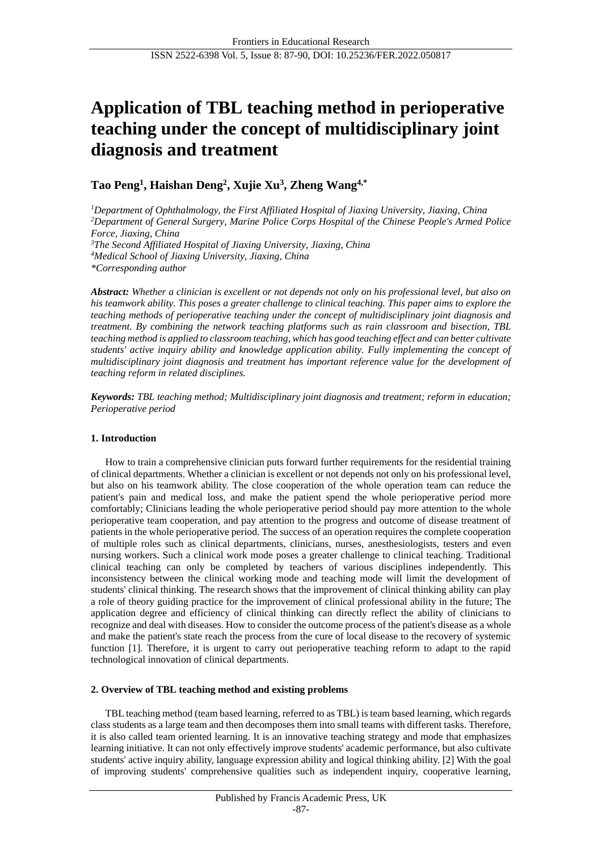# **Application of TBL teaching method in perioperative teaching under the concept of multidisciplinary joint diagnosis and treatment**

**Tao Peng<sup>1</sup> , Haishan Deng<sup>2</sup> , Xujie Xu<sup>3</sup> , Zheng Wang4,\***

*Department of Ophthalmology, the First Affiliated Hospital of Jiaxing University, Jiaxing, China Department of General Surgery, Marine Police Corps Hospital of the Chinese People's Armed Police Force, Jiaxing, China The Second Affiliated Hospital of Jiaxing University, Jiaxing, China Medical School of Jiaxing University, Jiaxing, China \*Corresponding author*

*Abstract: Whether a clinician is excellent or not depends not only on his professional level, but also on his teamwork ability. This poses a greater challenge to clinical teaching. This paper aims to explore the teaching methods of perioperative teaching under the concept of multidisciplinary joint diagnosis and treatment. By combining the network teaching platforms such as rain classroom and bisection, TBL teaching method is applied to classroom teaching, which has good teaching effect and can better cultivate students' active inquiry ability and knowledge application ability. Fully implementing the concept of multidisciplinary joint diagnosis and treatment has important reference value for the development of teaching reform in related disciplines.*

*Keywords: TBL teaching method; Multidisciplinary joint diagnosis and treatment; reform in education; Perioperative period*

# **1. Introduction**

How to train a comprehensive clinician puts forward further requirements for the residential training of clinical departments. Whether a clinician is excellent or not depends not only on his professional level, but also on his teamwork ability. The close cooperation of the whole operation team can reduce the patient's pain and medical loss, and make the patient spend the whole perioperative period more comfortably; Clinicians leading the whole perioperative period should pay more attention to the whole perioperative team cooperation, and pay attention to the progress and outcome of disease treatment of patients in the whole perioperative period. The success of an operation requires the complete cooperation of multiple roles such as clinical departments, clinicians, nurses, anesthesiologists, testers and even nursing workers. Such a clinical work mode poses a greater challenge to clinical teaching. Traditional clinical teaching can only be completed by teachers of various disciplines independently. This inconsistency between the clinical working mode and teaching mode will limit the development of students' clinical thinking. The research shows that the improvement of clinical thinking ability can play a role of theory guiding practice for the improvement of clinical professional ability in the future; The application degree and efficiency of clinical thinking can directly reflect the ability of clinicians to recognize and deal with diseases. How to consider the outcome process of the patient's disease as a whole and make the patient's state reach the process from the cure of local disease to the recovery of systemic function [1]. Therefore, it is urgent to carry out perioperative teaching reform to adapt to the rapid technological innovation of clinical departments.

## **2. Overview of TBL teaching method and existing problems**

TBL teaching method (team based learning, referred to as TBL) is team based learning, which regards class students as a large team and then decomposes them into small teams with different tasks. Therefore, it is also called team oriented learning. It is an innovative teaching strategy and mode that emphasizes learning initiative. It can not only effectively improve students' academic performance, but also cultivate students' active inquiry ability, language expression ability and logical thinking ability. [2] With the goal of improving students' comprehensive qualities such as independent inquiry, cooperative learning,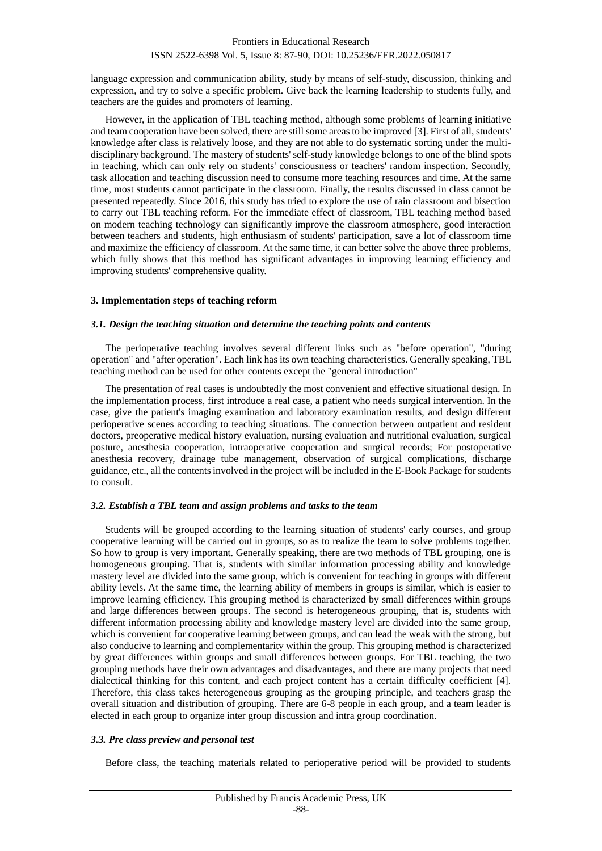# ISSN 2522-6398 Vol. 5, Issue 8: 87-90, DOI: 10.25236/FER.2022.050817

language expression and communication ability, study by means of self-study, discussion, thinking and expression, and try to solve a specific problem. Give back the learning leadership to students fully, and teachers are the guides and promoters of learning.

However, in the application of TBL teaching method, although some problems of learning initiative and team cooperation have been solved, there are still some areas to be improved [3]. First of all, students' knowledge after class is relatively loose, and they are not able to do systematic sorting under the multidisciplinary background. The mastery of students' self-study knowledge belongs to one of the blind spots in teaching, which can only rely on students' consciousness or teachers' random inspection. Secondly, task allocation and teaching discussion need to consume more teaching resources and time. At the same time, most students cannot participate in the classroom. Finally, the results discussed in class cannot be presented repeatedly. Since 2016, this study has tried to explore the use of rain classroom and bisection to carry out TBL teaching reform. For the immediate effect of classroom, TBL teaching method based on modern teaching technology can significantly improve the classroom atmosphere, good interaction between teachers and students, high enthusiasm of students' participation, save a lot of classroom time and maximize the efficiency of classroom. At the same time, it can better solve the above three problems, which fully shows that this method has significant advantages in improving learning efficiency and improving students' comprehensive quality.

### **3. Implementation steps of teaching reform**

### *3.1. Design the teaching situation and determine the teaching points and contents*

The perioperative teaching involves several different links such as "before operation", "during operation" and "after operation". Each link has its own teaching characteristics. Generally speaking, TBL teaching method can be used for other contents except the "general introduction"

The presentation of real cases is undoubtedly the most convenient and effective situational design. In the implementation process, first introduce a real case, a patient who needs surgical intervention. In the case, give the patient's imaging examination and laboratory examination results, and design different perioperative scenes according to teaching situations. The connection between outpatient and resident doctors, preoperative medical history evaluation, nursing evaluation and nutritional evaluation, surgical posture, anesthesia cooperation, intraoperative cooperation and surgical records; For postoperative anesthesia recovery, drainage tube management, observation of surgical complications, discharge guidance, etc., all the contents involved in the project will be included in the E-Book Package for students to consult.

#### *3.2. Establish a TBL team and assign problems and tasks to the team*

Students will be grouped according to the learning situation of students' early courses, and group cooperative learning will be carried out in groups, so as to realize the team to solve problems together. So how to group is very important. Generally speaking, there are two methods of TBL grouping, one is homogeneous grouping. That is, students with similar information processing ability and knowledge mastery level are divided into the same group, which is convenient for teaching in groups with different ability levels. At the same time, the learning ability of members in groups is similar, which is easier to improve learning efficiency. This grouping method is characterized by small differences within groups and large differences between groups. The second is heterogeneous grouping, that is, students with different information processing ability and knowledge mastery level are divided into the same group, which is convenient for cooperative learning between groups, and can lead the weak with the strong, but also conducive to learning and complementarity within the group. This grouping method is characterized by great differences within groups and small differences between groups. For TBL teaching, the two grouping methods have their own advantages and disadvantages, and there are many projects that need dialectical thinking for this content, and each project content has a certain difficulty coefficient [4]. Therefore, this class takes heterogeneous grouping as the grouping principle, and teachers grasp the overall situation and distribution of grouping. There are 6-8 people in each group, and a team leader is elected in each group to organize inter group discussion and intra group coordination.

#### *3.3. Pre class preview and personal test*

Before class, the teaching materials related to perioperative period will be provided to students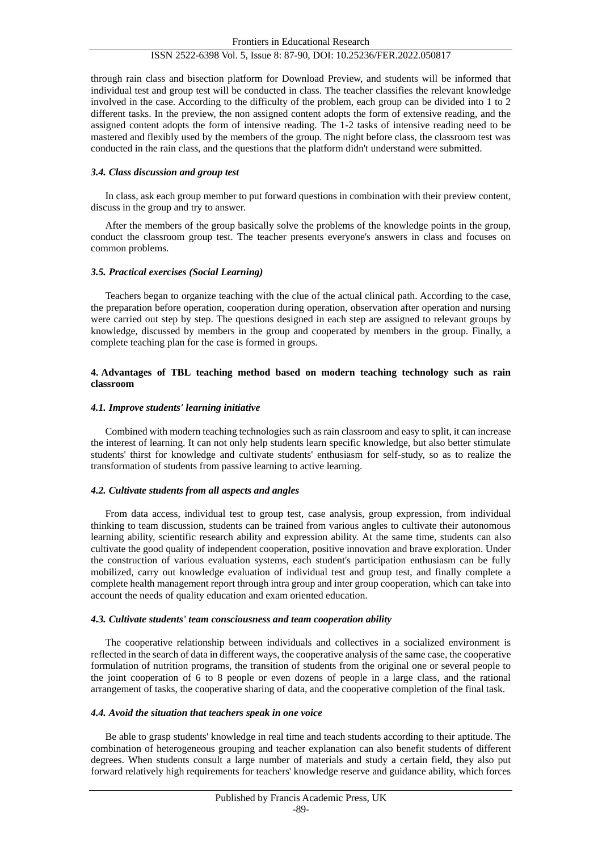## ISSN 2522-6398 Vol. 5, Issue 8: 87-90, DOI: 10.25236/FER.2022.050817

through rain class and bisection platform for Download Preview, and students will be informed that individual test and group test will be conducted in class. The teacher classifies the relevant knowledge involved in the case. According to the difficulty of the problem, each group can be divided into 1 to 2 different tasks. In the preview, the non assigned content adopts the form of extensive reading, and the assigned content adopts the form of intensive reading. The 1-2 tasks of intensive reading need to be mastered and flexibly used by the members of the group. The night before class, the classroom test was conducted in the rain class, and the questions that the platform didn't understand were submitted.

### *3.4. Class discussion and group test*

In class, ask each group member to put forward questions in combination with their preview content, discuss in the group and try to answer.

After the members of the group basically solve the problems of the knowledge points in the group, conduct the classroom group test. The teacher presents everyone's answers in class and focuses on common problems.

### *3.5. Practical exercises (Social Learning)*

Teachers began to organize teaching with the clue of the actual clinical path. According to the case, the preparation before operation, cooperation during operation, observation after operation and nursing were carried out step by step. The questions designed in each step are assigned to relevant groups by knowledge, discussed by members in the group and cooperated by members in the group. Finally, a complete teaching plan for the case is formed in groups.

## **4. Advantages of TBL teaching method based on modern teaching technology such as rain classroom**

### *4.1. Improve students' learning initiative*

Combined with modern teaching technologies such as rain classroom and easy to split, it can increase the interest of learning. It can not only help students learn specific knowledge, but also better stimulate students' thirst for knowledge and cultivate students' enthusiasm for self-study, so as to realize the transformation of students from passive learning to active learning.

#### *4.2. Cultivate students from all aspects and angles*

From data access, individual test to group test, case analysis, group expression, from individual thinking to team discussion, students can be trained from various angles to cultivate their autonomous learning ability, scientific research ability and expression ability. At the same time, students can also cultivate the good quality of independent cooperation, positive innovation and brave exploration. Under the construction of various evaluation systems, each student's participation enthusiasm can be fully mobilized, carry out knowledge evaluation of individual test and group test, and finally complete a complete health management report through intra group and inter group cooperation, which can take into account the needs of quality education and exam oriented education.

#### *4.3. Cultivate students' team consciousness and team cooperation ability*

The cooperative relationship between individuals and collectives in a socialized environment is reflected in the search of data in different ways, the cooperative analysis of the same case, the cooperative formulation of nutrition programs, the transition of students from the original one or several people to the joint cooperation of 6 to 8 people or even dozens of people in a large class, and the rational arrangement of tasks, the cooperative sharing of data, and the cooperative completion of the final task.

## *4.4. Avoid the situation that teachers speak in one voice*

Be able to grasp students' knowledge in real time and teach students according to their aptitude. The combination of heterogeneous grouping and teacher explanation can also benefit students of different degrees. When students consult a large number of materials and study a certain field, they also put forward relatively high requirements for teachers' knowledge reserve and guidance ability, which forces